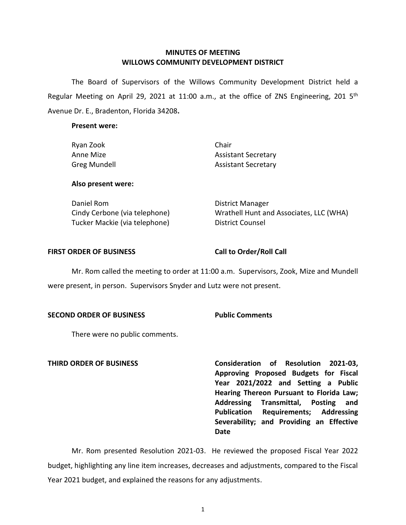# **MINUTES OF MEETING WILLOWS COMMUNITY DEVELOPMENT DISTRICT**

 The Board of Supervisors of the Willows Community Development District held a Avenue Dr. E., Bradenton, Florida 34208**.**  Regular Meeting on April 29, 2021 at 11:00 a.m., at the office of ZNS Engineering, 201  $5<sup>th</sup>$ 

### **Present were:**

| Ryan Zook           | Chair                      |
|---------------------|----------------------------|
| Anne Mize           | <b>Assistant Secretary</b> |
| <b>Greg Mundell</b> | <b>Assistant Secretary</b> |
| Also present were:  |                            |

Tucker Mackie (via telephone) District Counsel

Daniel Rom **District Manager** Cindy Cerbone (via telephone) Wrathell Hunt and Associates, LLC (WHA)

### FIRST ORDER OF BUSINESS Call to Order/Roll Call

 Mr. Rom called the meeting to order at 11:00 a.m. Supervisors, Zook, Mize and Mundell were present, in person. Supervisors Snyder and Lutz were not present.

### **SECOND ORDER OF BUSINESS Public Comments**

There were no public comments.

**THIRD ORDER OF BUSINESS Consideration of Resolution 2021-03, Approving Proposed Budgets for Fiscal Year 2021/2022 and Setting a Public Hearing Thereon Pursuant to Florida Law; Addressing Transmittal, Posting and Publication Requirements; Addressing Severability; and Providing an Effective Date** 

 budget, highlighting any line item increases, decreases and adjustments, compared to the Fiscal Year 2021 budget, and explained the reasons for any adjustments. Mr. Rom presented Resolution 2021-03. He reviewed the proposed Fiscal Year 2022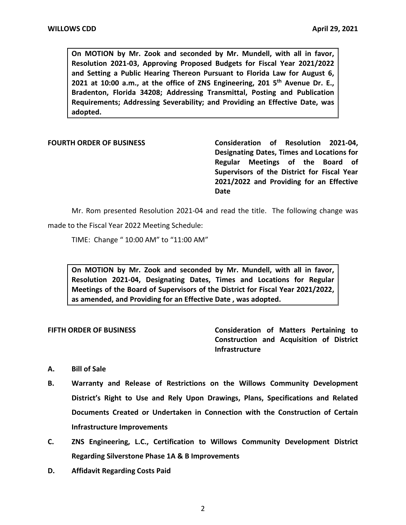**On MOTION by Mr. Zook and seconded by Mr. Mundell, with all in favor, 2021 at 10:00 a.m., at the office of ZNS Engineering, 201 5th Avenue Dr. E., Resolution 2021-03, Approving Proposed Budgets for Fiscal Year 2021/2022 and Setting a Public Hearing Thereon Pursuant to Florida Law for August 6, Bradenton, Florida 34208; Addressing Transmittal, Posting and Publication Requirements; Addressing Severability; and Providing an Effective Date, was adopted.** 

**FOURTH ORDER OF BUSINESS Consideration of Resolution 2021-04, Designating Dates, Times and Locations for Regular Meetings of the Board of Supervisors of the District for Fiscal Year 2021/2022 and Providing for an Effective Date** 

Mr. Rom presented Resolution 2021-04 and read the title. The following change was made to the Fiscal Year 2022 Meeting Schedule:

TIME: Change " 10:00 AM" to "11:00 AM"

 **On MOTION by Mr. Zook and seconded by Mr. Mundell, with all in favor, Resolution 2021-04, Designating Dates, Times and Locations for Regular Meetings of the Board of Supervisors of the District for Fiscal Year 2021/2022, as amended, and Providing for an Effective Date , was adopted.** 

**FIFTH ORDER OF BUSINESS Consideration of Matters Pertaining to Construction and Acquisition of District Infrastructure** 

### **A. Bill of Sale**

- **B. Warranty and Release of Restrictions on the Willows Community Development District's Right to Use and Rely Upon Drawings, Plans, Specifications and Related Documents Created or Undertaken in Connection with the Construction of Certain Infrastructure Improvements**
- **C. ZNS Engineering, L.C., Certification to Willows Community Development District Regarding Silverstone Phase 1A & B Improvements**
- **D. Affidavit Regarding Costs Paid**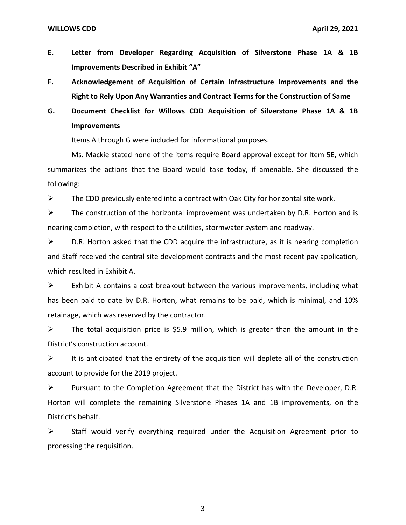- **E. Letter from Developer Regarding Acquisition of Silverstone Phase 1A & 1B Improvements Described in Exhibit "A"**
- **F. Acknowledgement of Acquisition of Certain Infrastructure Improvements and the Right to Rely Upon Any Warranties and Contract Terms for the Construction of Same**
- **G. Document Checklist for Willows CDD Acquisition of Silverstone Phase 1A & 1B Improvements**

Items A through G were included for informational purposes.

Ms. Mackie stated none of the items require Board approval except for Item 5E, which summarizes the actions that the Board would take today, if amenable. She discussed the following:

 $\triangleright$  The CDD previously entered into a contract with Oak City for horizontal site work.

 $\triangleright$  The construction of the horizontal improvement was undertaken by D.R. Horton and is nearing completion, with respect to the utilities, stormwater system and roadway.

 $\triangleright$  D.R. Horton asked that the CDD acquire the infrastructure, as it is nearing completion and Staff received the central site development contracts and the most recent pay application, which resulted in Exhibit A.

 $\triangleright$  Exhibit A contains a cost breakout between the various improvements, including what has been paid to date by D.R. Horton, what remains to be paid, which is minimal, and 10% retainage, which was reserved by the contractor.

 $\triangleright$  The total acquisition price is \$5.9 million, which is greater than the amount in the District's construction account.

 $\triangleright$  It is anticipated that the entirety of the acquisition will deplete all of the construction account to provide for the 2019 project.

➢ Pursuant to the Completion Agreement that the District has with the Developer, D.R. Horton will complete the remaining Silverstone Phases 1A and 1B improvements, on the District's behalf.

➢ Staff would verify everything required under the Acquisition Agreement prior to processing the requisition.

3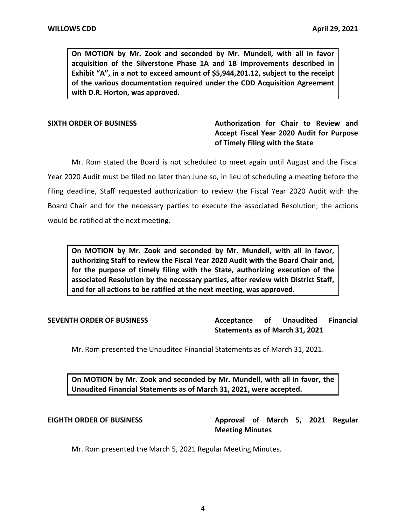**On MOTION by Mr. Zook and seconded by Mr. Mundell, with all in favor acquisition of the Silverstone Phase 1A and 1B improvements described in Exhibit "A", in a not to exceed amount of \$[5,944,201.12](https://5,944,201.12), subject to the receipt of the various documentation required under the CDD Acquisition Agreement with D.R. Horton, was approved.** 

# **SIXTH ORDER OF BUSINESS Authorization for Chair to Review and Accept Fiscal Year 2020 Audit for Purpose of Timely Filing with the State**

Mr. Rom stated the Board is not scheduled to meet again until August and the Fiscal Year 2020 Audit must be filed no later than June so, in lieu of scheduling a meeting before the filing deadline, Staff requested authorization to review the Fiscal Year 2020 Audit with the Board Chair and for the necessary parties to execute the associated Resolution; the actions would be ratified at the next meeting.

 **On MOTION by Mr. Zook and seconded by Mr. Mundell, with all in favor, authorizing Staff to review the Fiscal Year 2020 Audit with the Board Chair and, for the purpose of timely filing with the State, authorizing execution of the associated Resolution by the necessary parties, after review with District Staff, and for all actions to be ratified at the next meeting, was approved.** 

**Unaudited Statements as of March 31, 2021 SEVENTH ORDER OF BUSINESS Acceptance of Unaudited Financial** 

Mr. Rom presented the Unaudited Financial Statements as of March 31, 2021.

 **On MOTION by Mr. Zook and seconded by Mr. Mundell, with all in favor, the Unaudited Financial Statements as of March 31, 2021, were accepted.** 

EIGHTH ORDER OF BUSINESS **Approval of March 5, 2021 Regular Meeting Minutes** 

Mr. Rom presented the March 5, 2021 Regular Meeting Minutes.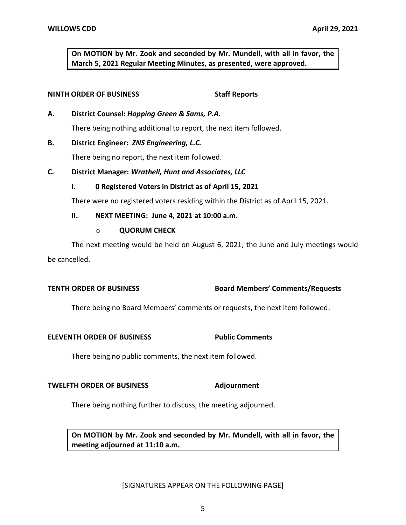**On MOTION by Mr. Zook and seconded by Mr. Mundell, with all in favor, the March 5, 2021 Regular Meeting Minutes, as presented, were approved.** 

## **NINTH ORDER OF BUSINESS** Staff Reports

 **A. District Counsel:** *Hopping Green & Sams, P.A.* 

There being nothing additional to report, the next item followed.

# **B. District Engineer:** *ZNS Engineering, L.C.*

There being no report, the next item followed.

 **C. District Manager:** *Wrathell, Hunt and Associates, LLC* 

# **I. 0 Registered Voters in District as of April 15, 2021**

There were no registered voters residing within the District as of April 15, 2021.

 **II. NEXT MEETING: June 4, 2021 at 10:00 a.m.** 

# o **QUORUM CHECK**

 The next meeting would be held on August 6, 2021; the June and July meetings would be cancelled.

# **TENTH ORDER OF BUSINESS Board Members' Comments/Requests**

There being no Board Members' comments or requests, the next item followed.

### **ELEVENTH ORDER OF BUSINESS Public Comments**

There being no public comments, the next item followed.

## **TWELFTH ORDER OF BUSINESS Adjournment**

There being nothing further to discuss, the meeting adjourned.

 **On MOTION by Mr. Zook and seconded by Mr. Mundell, with all in favor, the meeting adjourned at 11:10 a.m.** 

### [SIGNATURES APPEAR ON THE FOLLOWING PAGE]